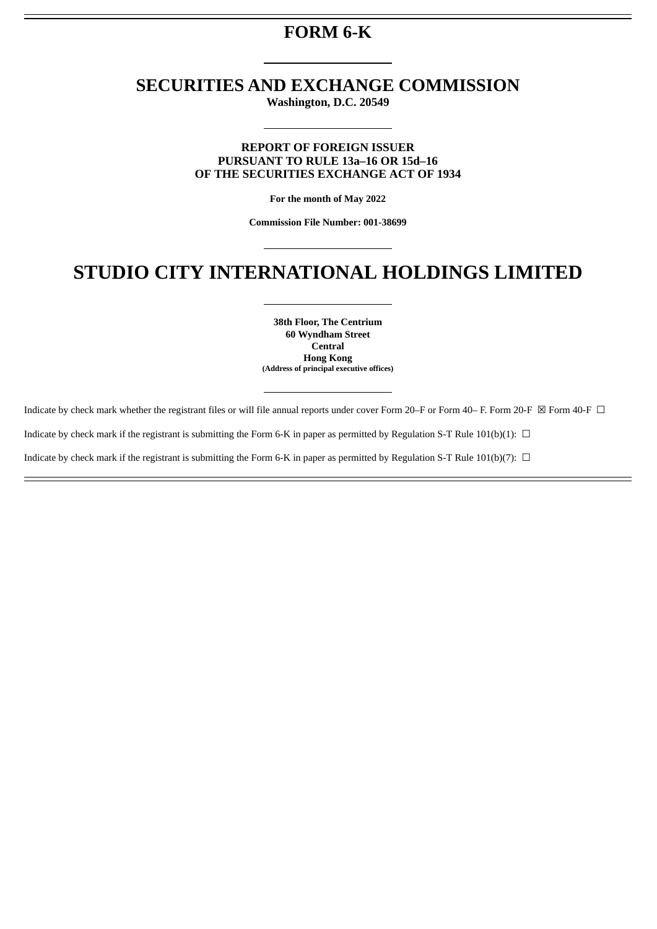# **FORM 6-K**

# **SECURITIES AND EXCHANGE COMMISSION**

**Washington, D.C. 20549**

## **REPORT OF FOREIGN ISSUER PURSUANT TO RULE 13a–16 OR 15d–16 OF THE SECURITIES EXCHANGE ACT OF 1934**

**For the month of May 2022**

**Commission File Number: 001-38699**

# **STUDIO CITY INTERNATIONAL HOLDINGS LIMITED**

**38th Floor, The Centrium 60 Wyndham Street Central Hong Kong (Address of principal executive offices)**

Indicate by check mark whether the registrant files or will file annual reports under cover Form 20–F or Form 40–F. Form 20−F ⊠ Form 40-F □ Indicate by check mark if the registrant is submitting the Form 6-K in paper as permitted by Regulation S-T Rule 101(b)(1):  $\Box$ 

Indicate by check mark if the registrant is submitting the Form 6-K in paper as permitted by Regulation S-T Rule 101(b)(7):  $\Box$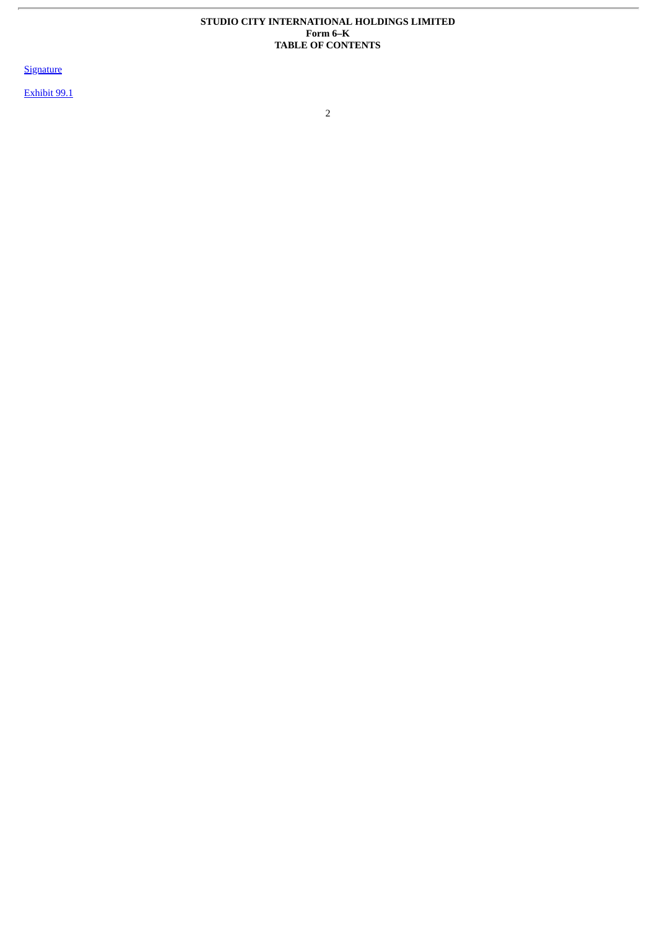### **STUDIO CITY INTERNATIONAL HOLDINGS LIMITED Form 6–K TABLE OF CONTENTS**

**[Signature](#page-2-0)** 

r.

[Exhibit](#page-4-0) 99.1

2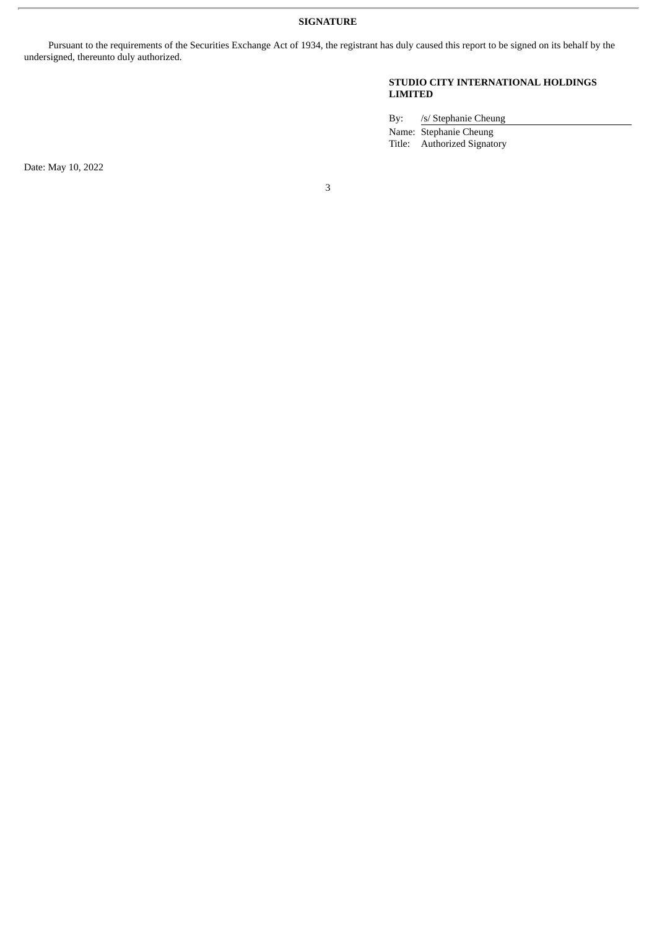**SIGNATURE**

<span id="page-2-0"></span>Pursuant to the requirements of the Securities Exchange Act of 1934, the registrant has duly caused this report to be signed on its behalf by the undersigned, thereunto duly authorized.

### **STUDIO CITY INTERNATIONAL HOLDINGS LIMITED**

By: /s/ Stephanie Cheung Name: Stephanie Cheung Title: Authorized Signatory

Date: May 10, 2022

3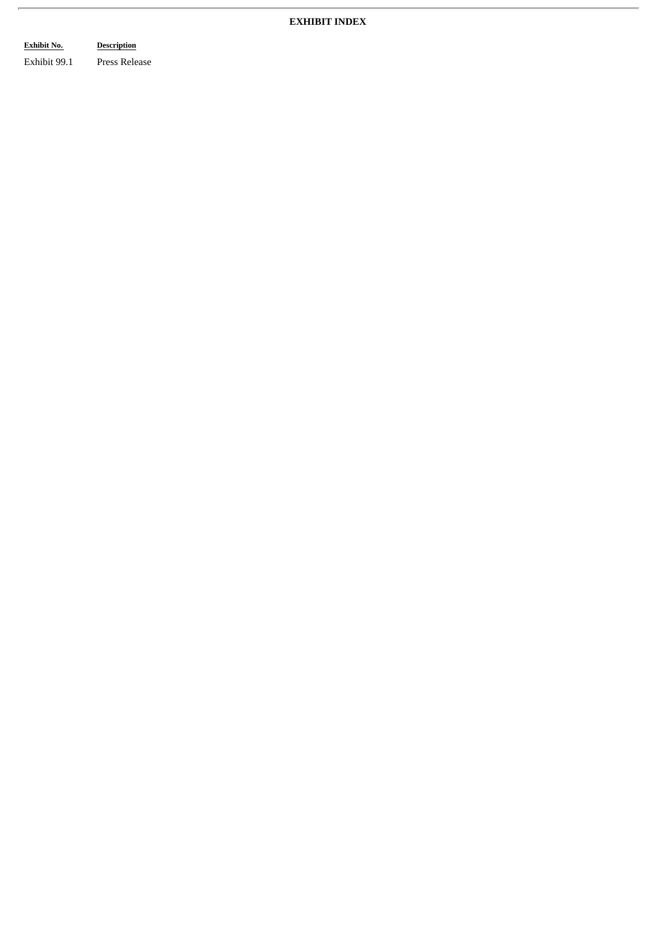## **EXHIBIT INDEX**

## **Exhibit No. Description**

 $\overline{r}$ 

Exhibit 99.1 Press Release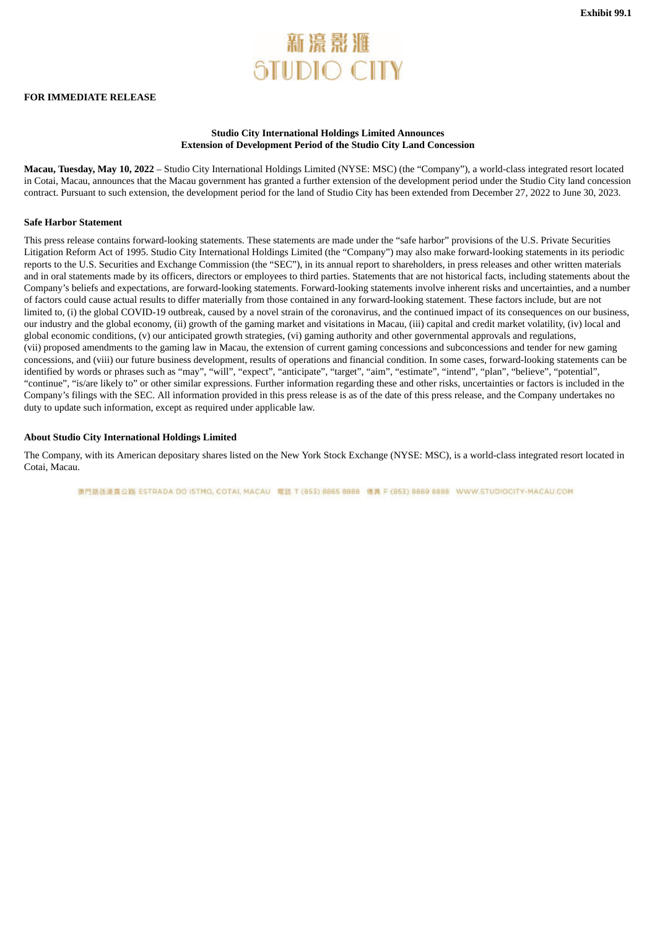# 新濠影雅 **STUDIO CITY**

### <span id="page-4-0"></span>**FOR IMMEDIATE RELEASE**

### **Studio City International Holdings Limited Announces Extension of Development Period of the Studio City Land Concession**

**Macau, Tuesday, May 10, 2022** – Studio City International Holdings Limited (NYSE: MSC) (the "Company"), a world-class integrated resort located in Cotai, Macau, announces that the Macau government has granted a further extension of the development period under the Studio City land concession contract. Pursuant to such extension, the development period for the land of Studio City has been extended from December 27, 2022 to June 30, 2023.

#### **Safe Harbor Statement**

This press release contains forward-looking statements. These statements are made under the "safe harbor" provisions of the U.S. Private Securities Litigation Reform Act of 1995. Studio City International Holdings Limited (the "Company") may also make forward-looking statements in its periodic reports to the U.S. Securities and Exchange Commission (the "SEC"), in its annual report to shareholders, in press releases and other written materials and in oral statements made by its officers, directors or employees to third parties. Statements that are not historical facts, including statements about the Company's beliefs and expectations, are forward-looking statements. Forward-looking statements involve inherent risks and uncertainties, and a number of factors could cause actual results to differ materially from those contained in any forward-looking statement. These factors include, but are not limited to, (i) the global COVID-19 outbreak, caused by a novel strain of the coronavirus, and the continued impact of its consequences on our business, our industry and the global economy, (ii) growth of the gaming market and visitations in Macau, (iii) capital and credit market volatility, (iv) local and global economic conditions, (v) our anticipated growth strategies, (vi) gaming authority and other governmental approvals and regulations, (vii) proposed amendments to the gaming law in Macau, the extension of current gaming concessions and subconcessions and tender for new gaming concessions, and (viii) our future business development, results of operations and financial condition. In some cases, forward-looking statements can be identified by words or phrases such as "may", "will", "expect", "anticipate", "target", "aim", "estimate", "intend", "plan", "believe", "potential", "continue", "is/are likely to" or other similar expressions. Further information regarding these and other risks, uncertainties or factors is included in the Company's filings with the SEC. All information provided in this press release is as of the date of this press release, and the Company undertakes no duty to update such information, except as required under applicable law.

### **About Studio City International Holdings Limited**

The Company, with its American depositary shares listed on the New York Stock Exchange (NYSE: MSC), is a world-class integrated resort located in Cotai, Macau.

南門路基連責公路 ESTRADA DO ISTMO, COTAI, MACAU 電話 T (853) 8865 8888 備置 F (853) 8869 8888 WWW.STUDIOCITY-MACAU.COM